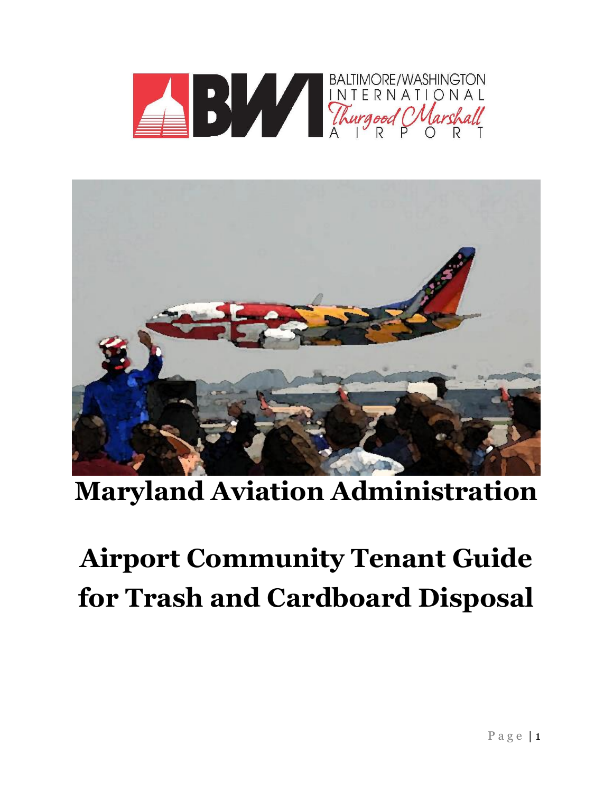



# **Maryland Aviation Administration**

# **Airport Community Tenant Guide for Trash and Cardboard Disposal**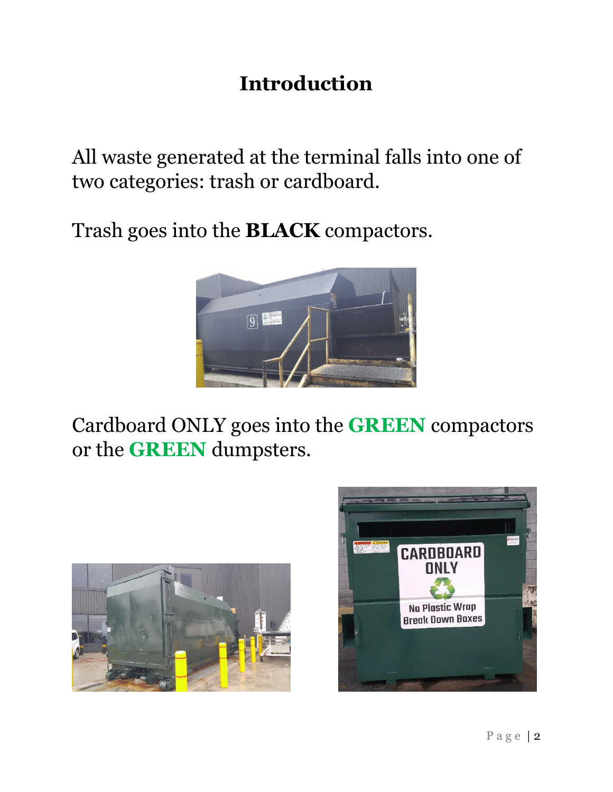# **Introduction**

All waste generated at the terminal falls into one of two categories: trash or cardboard.

Trash goes into the **BLACK** compactors.



Cardboard ONLY goes into the **GREEN** compactors or the **GREEN** dumpsters.



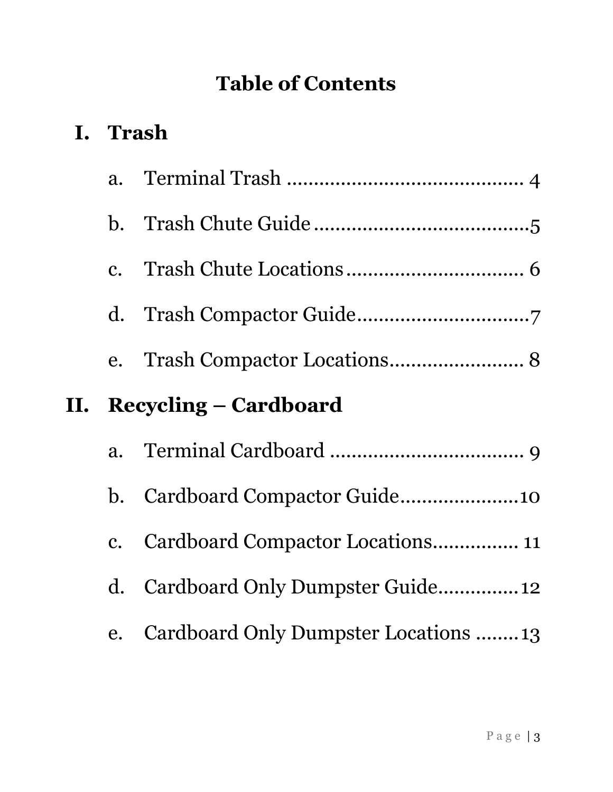# **Table of Contents**

# **I. Trash**

|    | a.             |                                      |  |
|----|----------------|--------------------------------------|--|
|    |                |                                      |  |
|    |                |                                      |  |
|    |                |                                      |  |
|    |                |                                      |  |
| П. |                | <b>Recycling – Cardboard</b>         |  |
|    | a.             |                                      |  |
|    | $\mathbf b$ .  | Cardboard Compactor Guide10          |  |
|    | $\mathbf{C}$ . | Cardboard Compactor Locations 11     |  |
|    | $\mathbf{d}$ . |                                      |  |
|    | e.             | Cardboard Only Dumpster Locations 13 |  |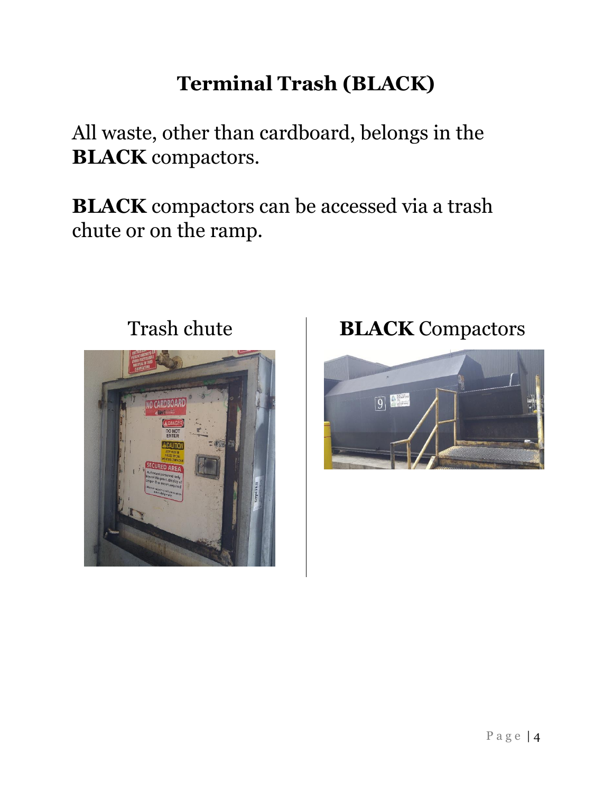# **Terminal Trash (BLACK)**

All waste, other than cardboard, belongs in the **BLACK** compactors.

**BLACK** compactors can be accessed via a trash chute or on the ramp.



# Trash chute **BLACK** Compactors

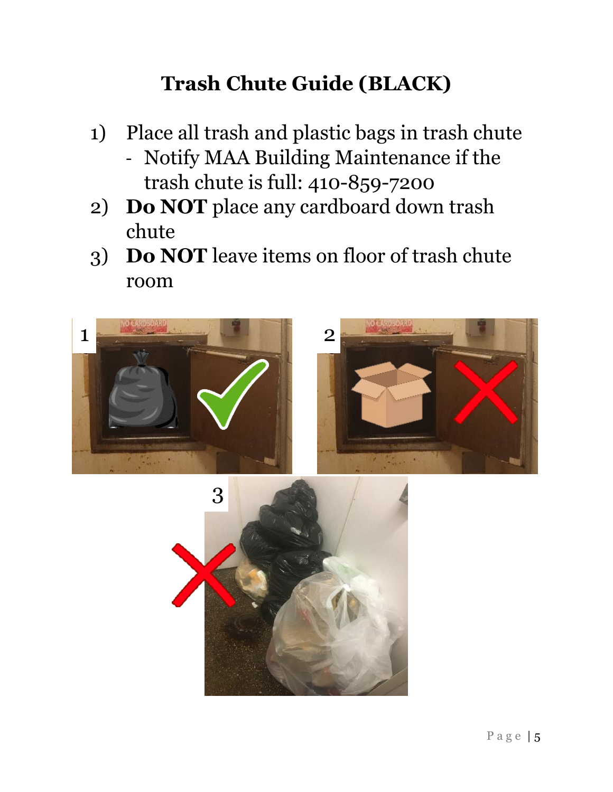# **Trash Chute Guide (BLACK)**

- 1) Place all trash and plastic bags in trash chute
	- Notify MAA Building Maintenance if the trash chute is full: 410-859-7200
- 2) **Do NOT** place any cardboard down trash chute
- 3) **Do NOT** leave items on floor of trash chute room



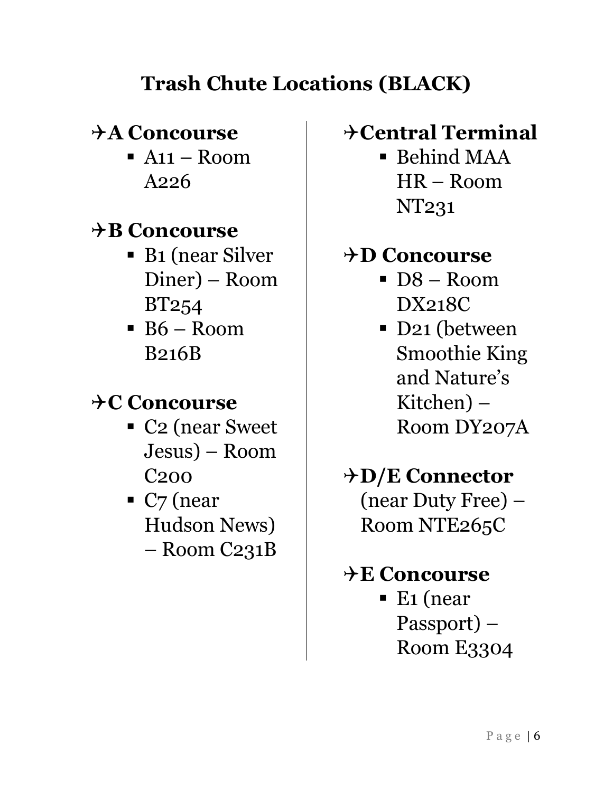# **Trash Chute Locations (BLACK)**

#### **A Concourse**

 $A11 - Room$ A226

#### **B Concourse**

- B1 (near Silver Diner) – Room BT254
- $\overline{B6 Room}$ B216B

### **C Concourse**

- C<sub>2</sub> (near Sweet Jesus) – Room C200
- $\blacksquare$  C<sub>7</sub> (near Hudson News) – Room C231B

#### **Central Terminal**

 $\blacksquare$  Behind MAA HR – Room NT231

#### **D Concourse**

- $\overline{D8} \text{Room}$ DX218C
- D21 (between Smoothie King and Nature's Kitchen) – Room DY207A

# **D/E Connector**

(near Duty Free) – Room NTE265C

# **E Concourse**

 $\blacksquare$  E1 (near Passport) – Room E3304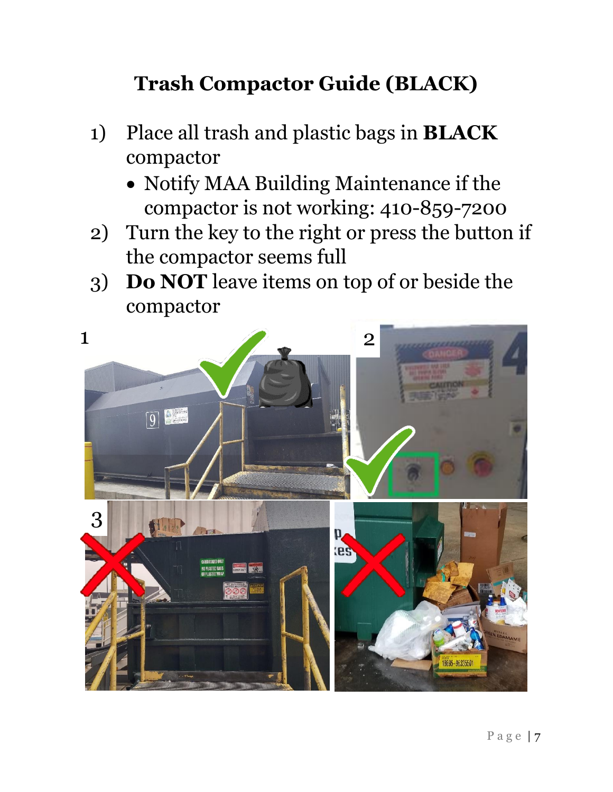# **Trash Compactor Guide (BLACK)**

- 1) Place all trash and plastic bags in **BLACK** compactor
	- Notify MAA Building Maintenance if the compactor is not working: 410-859-7200
- 2) Turn the key to the right or press the button if the compactor seems full
- 3) **Do NOT** leave items on top of or beside the compactor

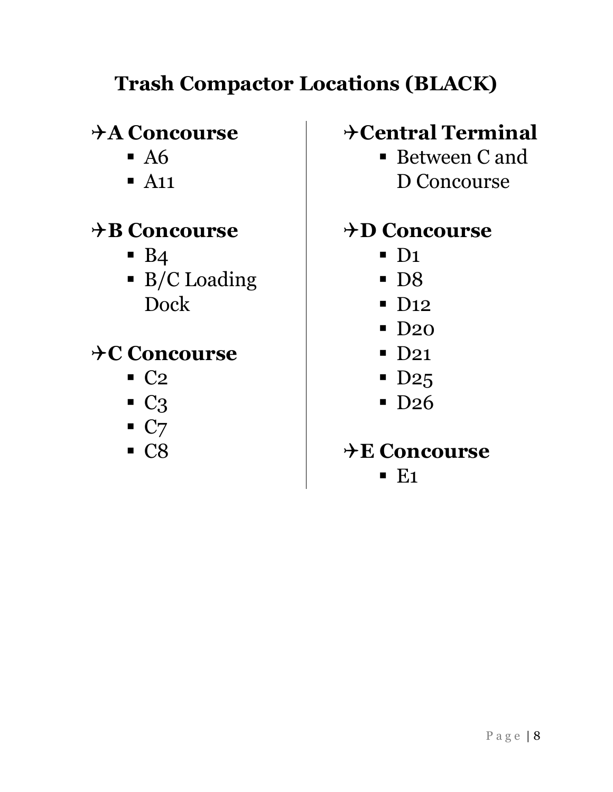# **Trash Compactor Locations (BLACK)**

#### **A Concourse**

- $\blacksquare$  A6
- $\blacksquare$  A<sub>11</sub>

## **B Concourse**

- $\blacksquare$  B4
- B/C Loading Dock

# **C Concourse**

- $\blacksquare$  C<sub>2</sub>
- $\overline{\phantom{a}}$  C<sub>3</sub>
- $\blacksquare$  C7
- C8

#### **Central Terminal**

■ Between C and D Concourse

#### **D Concourse**

- $\blacksquare$  D<sub>1</sub>
- D8
- D<sub>12</sub>
- D<sub>20</sub>
- D<sub>21</sub>
- $\blacksquare$  D<sub>25</sub>
- D<sub>26</sub>

## **E Concourse**

 $\blacksquare$  E1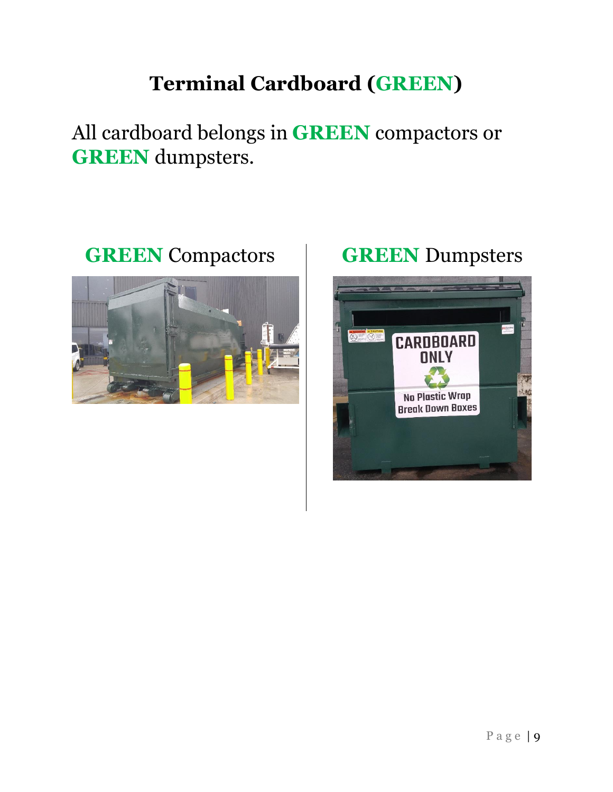# **Terminal Cardboard (GREEN)**

All cardboard belongs in **GREEN** compactors or **GREEN** dumpsters.

#### **GREEN** Compactors **GREEN** Dumpsters



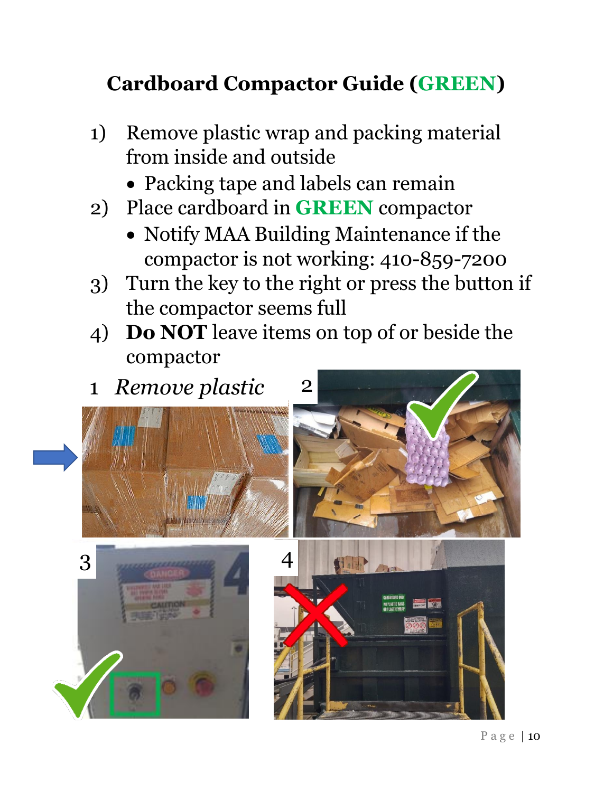# **Cardboard Compactor Guide (GREEN)**

- 1) Remove plastic wrap and packing material from inside and outside
	- Packing tape and labels can remain
- 2) Place cardboard in **GREEN** compactor
	- Notify MAA Building Maintenance if the compactor is not working: 410-859-7200
- 3) Turn the key to the right or press the button if the compactor seems full
- 4) **Do NOT** leave items on top of or beside the compactor

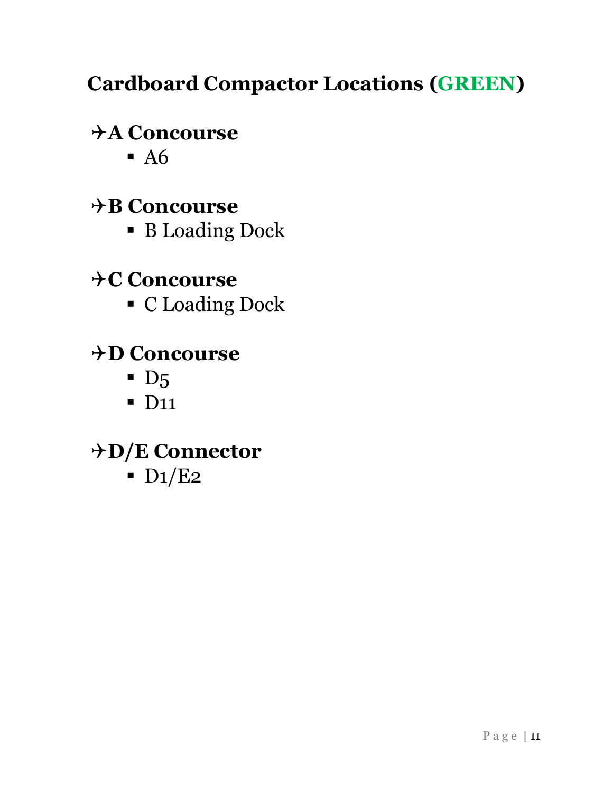# **Cardboard Compactor Locations (GREEN)**

# **A Concourse**

 $\blacksquare$  A6

# **B Concourse**

**B** Loading Dock

# $\rightarrow$ C Concourse

▪ C Loading Dock

# **D Concourse**

- $\blacksquare$  D<sub>5</sub>
- $\blacksquare$  D<sub>11</sub>

#### **D/E Connector**

 $\blacksquare$  D<sub>1</sub>/E<sub>2</sub>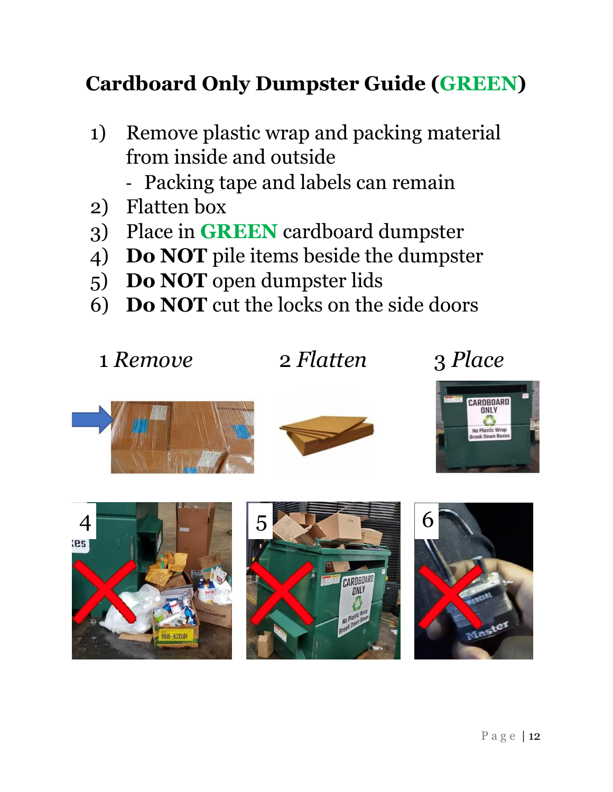# **Cardboard Only Dumpster Guide (GREEN)**

- 1) Remove plastic wrap and packing material from inside and outside
	- Packing tape and labels can remain
- 2) Flatten box
- 3) Place in **GREEN** cardboard dumpster
- 4) **Do NOT** pile items beside the dumpster
- 5) **Do NOT** open dumpster lids
- 6) **Do NOT** cut the locks on the side doors